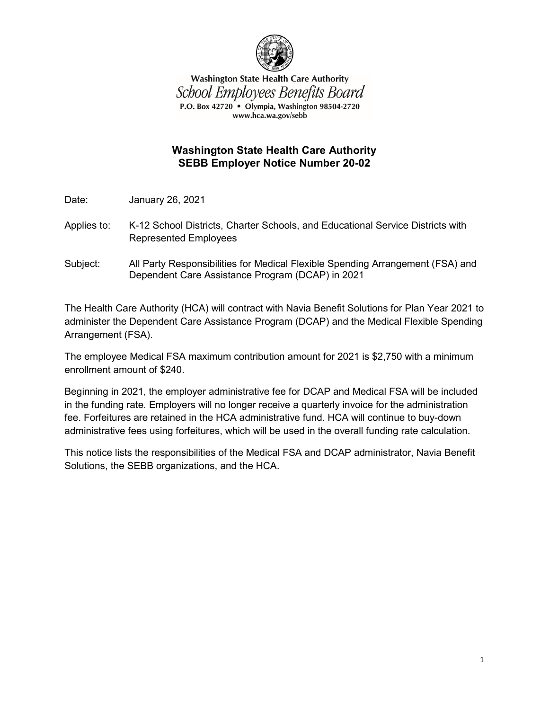

**Washington State Health Care Authority** School Employees Benefits Board P.O. Box 42720 • Olympia, Washington 98504-2720 www.hca.wa.gov/sebb

## **Washington State Health Care Authority SEBB Employer Notice Number 20-02**

Date: January 26, 2021

- Applies to: K-12 School Districts, Charter Schools, and Educational Service Districts with Represented Employees
- Subject: All Party Responsibilities for Medical Flexible Spending Arrangement (FSA) and Dependent Care Assistance Program (DCAP) in 2021

The Health Care Authority (HCA) will contract with Navia Benefit Solutions for Plan Year 2021 to administer the Dependent Care Assistance Program (DCAP) and the Medical Flexible Spending Arrangement (FSA).

The employee Medical FSA maximum contribution amount for 2021 is \$2,750 with a minimum enrollment amount of \$240.

Beginning in 2021, the employer administrative fee for DCAP and Medical FSA will be included in the funding rate. Employers will no longer receive a quarterly invoice for the administration fee. Forfeitures are retained in the HCA administrative fund. HCA will continue to buy-down administrative fees using forfeitures, which will be used in the overall funding rate calculation.

This notice lists the responsibilities of the Medical FSA and DCAP administrator, Navia Benefit Solutions, the SEBB organizations, and the HCA.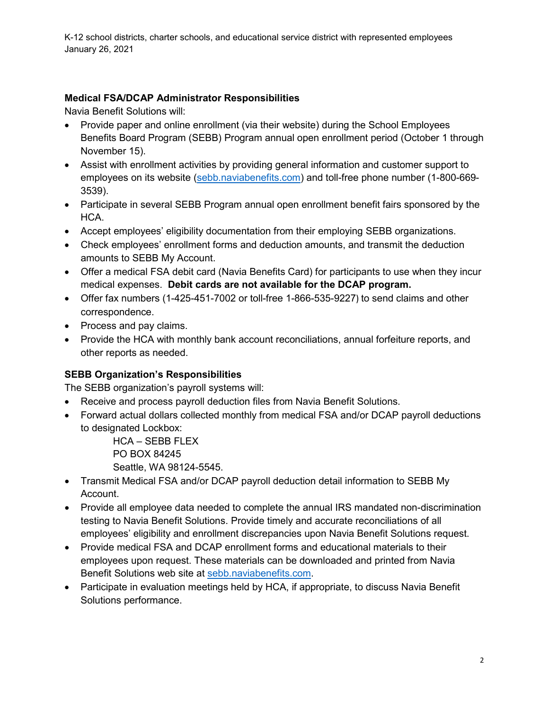K-12 school districts, charter schools, and educational service district with represented employees January 26, 2021

## **Medical FSA/DCAP Administrator Responsibilities**

Navia Benefit Solutions will:

- Provide paper and online enrollment (via their website) during the School Employees Benefits Board Program (SEBB) Program annual open enrollment period (October 1 through November 15).
- Assist with enrollment activities by providing general information and customer support to employees on its website [\(sebb.naviabenefits.com\)](http://sebb.naviabenefits.com/) and toll-free phone number (1-800-669- 3539).
- Participate in several SEBB Program annual open enrollment benefit fairs sponsored by the HCA.
- Accept employees' eligibility documentation from their employing SEBB organizations.
- Check employees' enrollment forms and deduction amounts, and transmit the deduction amounts to SEBB My Account.
- Offer a medical FSA debit card (Navia Benefits Card) for participants to use when they incur medical expenses. **Debit cards are not available for the DCAP program.**
- Offer fax numbers (1-425-451-7002 or toll-free 1-866-535-9227) to send claims and other correspondence.
- Process and pay claims.
- Provide the HCA with monthly bank account reconciliations, annual forfeiture reports, and other reports as needed.

# **SEBB Organization's Responsibilities**

The SEBB organization's payroll systems will:

- Receive and process payroll deduction files from Navia Benefit Solutions.
- Forward actual dollars collected monthly from medical FSA and/or DCAP payroll deductions to designated Lockbox:

HCA – SEBB FLEX PO BOX 84245 Seattle, WA 98124-5545.

- Transmit Medical FSA and/or DCAP payroll deduction detail information to SEBB My Account.
- Provide all employee data needed to complete the annual IRS mandated non-discrimination testing to Navia Benefit Solutions. Provide timely and accurate reconciliations of all employees' eligibility and enrollment discrepancies upon Navia Benefit Solutions request.
- Provide medical FSA and DCAP enrollment forms and educational materials to their employees upon request. These materials can be downloaded and printed from Navia Benefit Solutions web site at [sebb.naviabenefits.com.](http://sebb.naviabenefits.com/)
- Participate in evaluation meetings held by HCA, if appropriate, to discuss Navia Benefit Solutions performance.